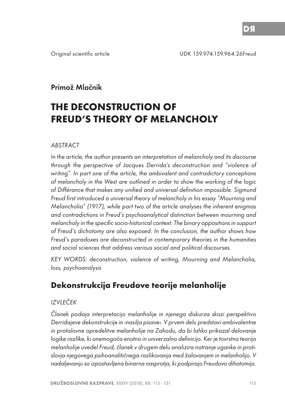# Primož Mlačnik

# **THE DECONSTRUCTION OF FREUD'S THEORY OF MELANCHOLY**

#### ABSTRACT

In the article, the author presents an interpretation of melancholy and its discourse through the perspective of Jacques Derrida's deconstruction and "violence of writing". In part one of the article, the ambivalent and contradictory conceptions of melancholy in the West are outlined in order to show the working of the logic of Différance that makes any unified and universal definition impossible. Sigmund Freud first introduced a universal theory of melancholy in his essay "Mourning and Melancholia" (1917), while part two of the article analyses the inherent enigmas and contradictions in Freud's psychoanalytical distinction between mourning and melancholy in the specific socio-historical context. The binary oppositions in support of Freud's dichotomy are also exposed. In the conclusion, the author shows how Freud's paradoxes are deconstructed in contemporary theories in the humanities and social sciences that address various social and political discourses.

KEY WORDS: deconstruction, violence of writing, Mourning and Melancholia, loss, psychoanalysis

# **Dekonstrukcija Freudove teorije melanholije**

### IZVLEČEK

Članek podaja interpretacijo melanholije in njenega diskurza skozi perspektivo Derridajeve dekonstrukcije in ‹nasilja pisave›. V prvem delu predstavi ambivalentne in protislovne opredelitve melanholije na Zahodu, da bi lahko prikazal delovanje logike razlîke, ki onemogoča enotno in univerzalno definicijo. Ker je tovrstno teorijo melanholije uvedel Freud, članek v drugem delu analizira notranje uganke in protislovja njegovega psihoanalitičnega razlikovanja med žalovanjem in melanholijo. V nadaljevanju so izpostavljena binarna nasprotja, ki podpirajo Freudovo dihotomijo.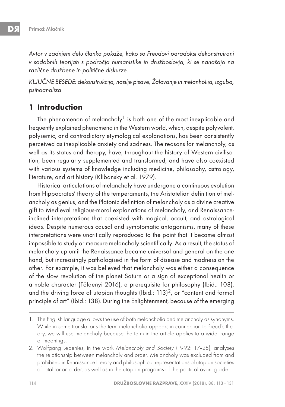Avtor v zadnjem delu članka pokaže, kako so Freudovi paradoksi dekonstruirani v sodobnih teorijah s področja humanistike in družboslovja, ki se nanašajo na različne družbene in politične diskurze.

KLJUČNE BESEDE: dekonstrukcija, nasilje pisave, Žalovanje in melanholija, izguba, psihoanaliza

### **1 Introduction**

The phenomenon of melancholy<sup>1</sup> is both one of the most inexplicable and frequently explained phenomena in the Western world, which, despite polyvalent, polysemic, and contradictory etymological explanations, has been consistently perceived as inexplicable anxiety and sadness. The reasons for melancholy, as well as its status and therapy, have, throughout the history of Western civilisation, been regularly supplemented and transformed, and have also coexisted with various systems of knowledge including medicine, philosophy, astrology, literature, and art history (Klibansky et al. 1979).

Historical articulations of melancholy have undergone a continuous evolution from Hippocrates' theory of the temperaments, the Aristotelian definition of melancholy as genius, and the Platonic definition of melancholy as a divine creative gift to Medieval religious-moral explanations of melancholy, and Renaissanceinclined interpretations that coexisted with magical, occult, and astrological ideas. Despite numerous causal and symptomatic antagonisms, many of these interpretations were uncritically reproduced to the point that it became almost impossible to study or measure melancholy scientifically. As a result, the status of melancholy up until the Renaissance became universal and general on the one hand, but increasingly pathologised in the form of disease and madness on the other. For example, it was believed that melancholy was either a consequence of the slow revolution of the planet Saturn or a sign of exceptional health or a noble character (Földenyi 2016), a prerequisite for philosophy (Ibid.: 108), and the driving force of utopian thoughts (Ibid.:  $113$ )<sup>2</sup>, or "content and formal principle of art" (Ibid.: 138). During the Enlightenment, because of the emerging

<sup>1.</sup> The English language allows the use of both melancholia and melancholy as synonyms. While in some translations the term melancholia appears in connection to Freud's theory, we will use melancholy because the term in the article applies to a wider range of meanings.

<sup>2.</sup> Wolfgang Lepenies, in the work Melancholy and Society (1992: 17-28), analyses the relationship between melancholy and order. Melancholy was excluded from and prohibited in Renaissance literary and philosophical representations of utopian societies of totalitarian order, as well as in the utopian programs of the political avant-garde.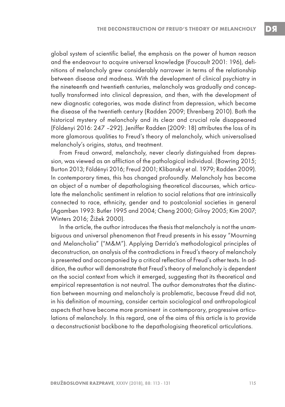global system of scientific belief, the emphasis on the power of human reason and the endeavour to acquire universal knowledge (Foucault 2001: 196), definitions of melancholy grew considerably narrower in terms of the relationship between disease and madness. With the development of clinical psychiatry in the nineteenth and twentieth centuries, melancholy was gradually and conceptually transformed into clinical depression, and then, with the development of new diagnostic categories, was made distinct from depression, which became the disease of the twentieth century (Radden 2009; Ehrenberg 2010). Both the historical mystery of melancholy and its clear and crucial role disappeared (Földenyi 2016: 247 –292). Jeniffer Radden (2009: 18) attributes the loss of its more glamorous qualities to Freud's theory of melancholy, which universalised melancholy's origins, status, and treatment.

From Freud onward, melancholy, never clearly distinguished from depression, was viewed as an affliction of the pathological individual. (Bowring 2015; Burton 2013; Földényi 2016; Freud 2001; Klibansky et al. 1979; Radden 2009). In contemporary times, this has changed profoundly. Melancholy has become an object of a number of depathologising theoretical discourses, which articulate the melancholic sentiment in relation to social relations that are intrinsically connected to race, ethnicity, gender and to postcolonial societies in general (Agamben 1993: Butler 1995 and 2004; Cheng 2000; Gilroy 2005; Kim 2007; Winters 2016; Žižek 2000).

In the article, the author introduces the thesis that melancholy is not the unambiguous and universal phenomenon that Freud presents in his essay "Mourning and Melancholia" ("M&M"). Applying Derrida's methodological principles of deconstruction, an analysis of the contradictions in Freud's theory of melancholy is presented and accompanied by a critical reflection of Freud's other texts. In addition, the author will demonstrate that Freud's theory of melancholy is dependent on the social context from which it emerged, suggesting that its theoretical and empirical representation is not neutral. The author demonstrates that the distinction between mourning and melancholy is problematic, because Freud did not, in his definition of mourning, consider certain sociological and anthropological aspects that have become more prominent in contemporary, progressive articulations of melancholy. In this regard, one of the aims of this article is to provide a deconstructionist backbone to the depathologising theoretical articulations.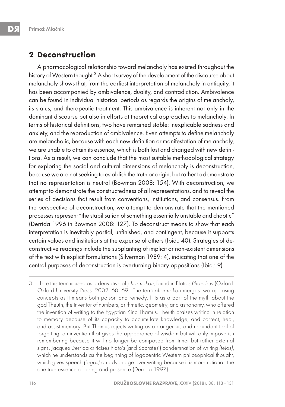## **2 Deconstruction**

A pharmacological relationship toward melancholy has existed throughout the history of Western thought.<sup>3</sup> A short survey of the development of the discourse about melancholy shows that, from the earliest interpretation of melancholy in antiquity, it has been accompanied by ambivalence, duality, and contradiction. Ambivalence can be found in individual historical periods as regards the origins of melancholy, its status, and therapeutic treatment. This ambivalence is inherent not only in the dominant discourse but also in efforts at theoretical approaches to melancholy. In terms of historical definitions, two have remained stable: inexplicable sadness and anxiety, and the reproduction of ambivalence. Even attempts to define melancholy are melancholic, because with each new definition or manifestation of melancholy, we are unable to attain its essence, which is both lost and changed with new definitions. As a result, we can conclude that the most suitable methodological strategy for exploring the social and cultural dimensions of melancholy is deconstruction, because we are not seeking to establish the truth or origin, but rather to demonstrate that no representation is neutral (Bowman 2008: 154). With deconstruction, we attempt to demonstrate the constructedness of all representations, and to reveal the series of decisions that result from conventions, institutions, and consensus. From the perspective of deconstruction, we attempt to demonstrate that the mentioned processes represent "the stabilisation of something essentially unstable and chaotic" (Derrida 1996 in Bowman 2008: 127). To deconstruct means to show that each interpretation is inevitably partial, unfinished, and contingent, because it supports certain values and institutions at the expense of others (Ibid.: 40). Strategies of deconstructive readings include the supplanting of implicit or non-existent dimensions of the text with explicit formulations (Silverman 1989: 4), indicating that one of the central purposes of deconstruction is overturning binary oppositions (Ibid.: 9).

3. Here this term is used as a derivative of pharmakon, found in Plato's Phaedrus (Oxford: Oxford University Press, 2002: 68–69). The term pharmakon merges two opposing concepts as it means both poison and remedy. It is as a part of the myth about the god Theuth, the inventor of numbers, arithmetic, geometry, and astronomy, who offered the invention of writing to the Egyptian King Thamus. Theuth praises writing in relation to memory because of its capacity to accumulate knowledge, and correct, heal, and assist memory. But Thamus rejects writing as a dangerous and redundant tool of forgetting, an invention that gives the appearance of wisdom but will only impoverish remembering because it will no longer be composed from inner but rather external signs. Jacques Derrida criticises Plato's (and Socrates') condemnation of writing (telos), which he understands as the beginning of logocentric Western philosophical thought, which gives speech (logos) an advantage over writing because it is more rational, the one true essence of being and presence (Derrida 1997).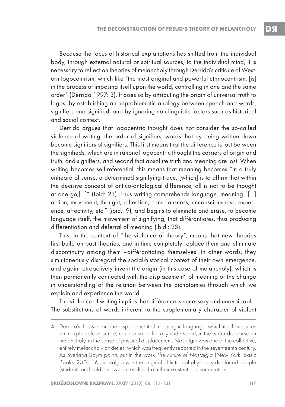Because the focus of historical explanations has shifted from the individual body, through external natural or spiritual sources, to the individual mind, it is necessary to reflect on theories of melancholy through Derrida's critique of Western logocentrism, which like "the most original and powerful ethnocentrism, [is] in the process of imposing itself upon the world, controlling in one and the same order" (Derrida 1997: 3). It does so by attributing the origin of universal truth to logos, by establishing an unproblematic analogy between speech and words, signifiers and signified, and by ignoring non-linguistic factors such as historical and social context.

Derrida argues that logocentric thought does not consider the so-called violence of writing, the order of signifiers, words that by being written down become signifiers of signifiers. This first means that the difference is lost between the signifieds, which are in rational logocentric thought the carriers of origin and truth, and signifiers, and second that absolute truth and meaning are lost. When writing becomes self-referential, this means that meaning becomes "in a truly unheard of sense, a determined signifying trace, [which] is to affirm that within the decisive concept of ontico-ontological difference, all is not to be thought at one go;[…]" (Ibid: 23). Thus writing comprehends language, meaning "[…] action, movement, thought, reflection, consciousness, unconsciousness, experience, affectivity, etc." (ibid.: 9), and begins to eliminate and erase, to become language itself, the movement of signifying, that différantiates, thus producing differentiation and deferral of meaning (ibid.: 23).

This, in the context of "the violence of theory", means that new theories first build on past theories, and in time completely replace them and eliminate discontinuity among them –différantiating themselves. In other words, they simultaneously disregard the social-historical context of their own emergence, and again retroactively invent the origin (in this case of melancholy), which is then permanently connected with the displacement<sup>4</sup> of meaning or the change in understanding of the relation between the dichotomies through which we explain and experience the world.

The violence of writing implies that différance is necessary and unavoidable. The substitutions of words inherent to the supplementary character of violent

<sup>4.</sup> Derrida's thesis about the displacement of meaning in language, which itself produces an inexplicable absence, could also be literally understood, in the wider discourse on melancholy, in the sense of physical displacement. Nostalgia was one of the collective, entirely melancholy anxieties, which was frequently reported in the seventeenth century. As Svetlana Boym points out in the work The Future of Nostalgia (New York: Basic Books, 2001: 16), nostalgia was the original affliction of physically displaced people (students and soldiers), which resulted from their existential disorientation.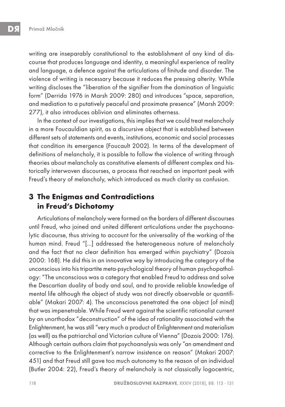writing are inseparably constitutional to the establishment of any kind of discourse that produces language and identity, a meaningful experience of reality and language, a defence against the articulations of finitude and disorder. The violence of writing is necessary because it reduces the pressing alterity. While writing discloses the "liberation of the signifier from the domination of linguistic form" (Derrida 1976 in Marsh 2009: 280) and introduces "space, separation, and mediation to a putatively peaceful and proximate presence" (Marsh 2009: 277), it also introduces oblivion and eliminates otherness.

In the context of our investigations, this implies that we could treat melancholy in a more Foucauldian spirit, as a discursive object that is established between different sets of statements and events, institutions, economic and social processes that condition its emergence (Foucault 2002). In terms of the development of definitions of melancholy, it is possible to follow the violence of writing through theories about melancholy as constitutive elements of different complex and historically interwoven discourses, a process that reached an important peak with Freud's theory of melancholy, which introduced as much clarity as confusion.

# **3 The Enigmas and Contradictions in Freud's Dichotomy**

Articulations of melancholy were formed on the borders of different discourses until Freud, who joined and united different articulations under the psychoanalytic discourse, thus striving to account for the universality of the working of the human mind. Freud "[…] addressed the heterogeneous nature of melancholy and the fact that no clear definition has emerged within psychiatry" (Dozois 2000: 168). He did this in an innovative way by introducing the category of the unconscious into his tripartite meta-psychological theory of human psychopathology: "The unconscious was a category that enabled Freud to address and solve the Descartian duality of body and soul, and to provide reliable knowledge of mental life although the object of study was not directly observable or quantifiable" (Makari 2007: 4). The unconscious penetrated the one object (of mind) that was impenetrable. While Freud went against the scientific rationalist current by an unorthodox "deconstruction" of the idea of rationality associated with the Enlightenment, he was still "very much a product of Enlightenment and materialism (as well) as the patriarchal and Victorian culture of Vienna" (Dozois 2000: 176). Although certain authors claim that psychoanalysis was only "an amendment and corrective to the Enlightenment's narrow insistence on reason" (Makari 2007: 451) and that Freud still gave too much autonomy to the reason of an individual (Butler 2004: 22), Freud's theory of melancholy is not classically logocentric,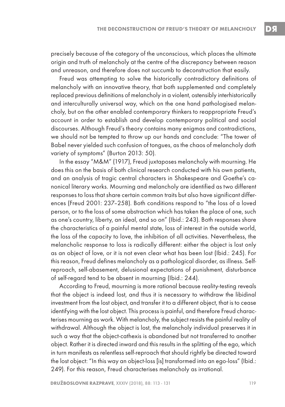precisely because of the category of the unconscious, which places the ultimate origin and truth of melancholy at the centre of the discrepancy between reason and unreason, and therefore does not succumb to deconstruction that easily.

Freud was attempting to solve the historically contradictory definitions of melancholy with an innovative theory, that both supplemented and completely replaced previous definitions of melancholy in a violent, ostensibly interhistorically and interculturally universal way, which on the one hand pathologised melancholy, but on the other enabled contemporary thinkers to reappropriate Freud's account in order to establish and develop contemporary political and social discourses. Although Freud's theory contains many enigmas and contradictions, we should not be tempted to throw up our hands and conclude: "The tower of Babel never yielded such confusion of tongues, as the chaos of melancholy doth variety of symptoms" (Burton 2013: 50).

In the essay "M&M" (1917), Freud juxtaposes melancholy with mourning. He does this on the basis of both clinical research conducted with his own patients, and an analysis of tragic central characters in Shakespeare and Goethe's canonical literary works. Mourning and melancholy are identified as two different responses to loss that share certain common traits but also have significant differences (Freud 2001: 237–258). Both conditions respond to "the loss of a loved person, or to the loss of some abstraction which has taken the place of one, such as one's country, liberty, an ideal, and so on" (Ibid.: 243). Both responses share the characteristics of a painful mental state, loss of interest in the outside world, the loss of the capacity to love, the inhibition of all activities. Nevertheless, the melancholic response to loss is radically different: either the object is lost only as an object of love, or it is not even clear what has been lost (Ibid.: 245). For this reason, Freud defines melancholy as a pathological disorder, as illness. Selfreproach, self-abasement, delusional expectations of punishment, disturbance of self-regard tend to be absent in mourning (Ibid.: 244).

According to Freud, mourning is more rational because reality-testing reveals that the object is indeed lost, and thus it is necessary to withdraw the libidinal investment from the lost object, and transfer it to a different object, that is to cease identifying with the lost object. This process is painful, and therefore Freud characterises mourning as work. With melancholy, the subject resists the painful reality of withdrawal. Although the object is lost, the melancholy individual preserves it in such a way that the object-cathexis is abandoned but not transferred to another object. Rather it is directed inward and this results in the splitting of the ego, which in turn manifests as relentless self-reproach that should rightly be directed toward the lost object: "In this way an object-loss [is] transformed into an ego-loss" (Ibid.: 249). For this reason, Freud characterises melancholy as irrational.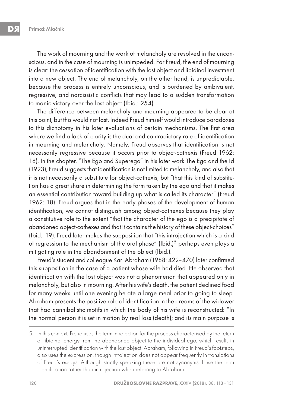The work of mourning and the work of melancholy are resolved in the unconscious, and in the case of mourning is unimpeded. For Freud, the end of mourning is clear: the cessation of identification with the lost object and libidinal investment into a new object. The end of melancholy, on the other hand, is unpredictable, because the process is entirely unconscious, and is burdened by ambivalent, regressive, and narcissistic conflicts that may lead to a sudden transformation to manic victory over the lost object (Ibid.: 254).

The difference between melancholy and mourning appeared to be clear at this point, but this would not last. Indeed Freud himself would introduce paradoxes to this dichotomy in his later evaluations of certain mechanisms. The first area where we find a lack of clarity is the dual and contradictory role of identification in mourning and melancholy. Namely, Freud observes that identification is not necessarily regressive because it occurs prior to object-cathexis (Freud 1962: 18). In the chapter, "The Ego and Superego" in his later work The Ego and the Id (1923), Freud suggests that identification is not limited to melancholy, and also that it is not necessarily a substitute for object-cathexis, but "that this kind of substitution has a great share in determining the form taken by the ego and that it makes an essential contribution toward building up what is called its character" (Freud 1962: 18). Freud argues that in the early phases of the development of human identification, we cannot distinguish among object-cathexes because they play a constitutive role to the extent "that the character of the ego is a precipitate of abandoned object-cathexes and that it contains the history of these object-choices" (Ibid.: 19). Freud later makes the supposition that "this introjection which is a kind of regression to the mechanism of the oral phase" (Ibid.)<sup>5</sup> perhaps even plays a mitigating role in the abandonment of the object (Ibid.).

Freud's student and colleague Karl Abraham (1988: 422–470) later confirmed this supposition in the case of a patient whose wife had died. He observed that identification with the lost object was not a phenomenon that appeared only in melancholy, but also in mourning. After his wife's death, the patient declined food for many weeks until one evening he ate a large meal prior to going to sleep. Abraham presents the positive role of identification in the dreams of the widower that had cannibalistic motifs in which the body of his wife is reconstructed: "In the normal person it is set in motion by real loss (death); and its main purpose is

<sup>5.</sup> In this context, Freud uses the term introjection for the process characterised by the return of libidinal energy from the abandoned object to the individual ego, which results in uninterrupted identification with the lost object. Abraham, following in Freud's footsteps, also uses the expression, though introjection does not appear frequently in translations of Freud's essays. Although strictly speaking these are not synonyms, I use the term identification rather than introjection when referring to Abraham.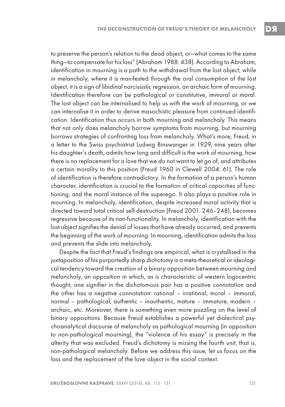to preserve the person's relation to the dead object, or—what comes to the same thing—to compensate for his loss" (Abraham 1988: 438). According to Abraham, identification in mourning is a path to the withdrawal from the lost object, while in melancholy, where it is manifested through the oral consumption of the lost object, it is a sign of libidinal narcissistic regression, an archaic form of mourning. Identification therefore can be pathological or constitutive, immoral or moral. The lost object can be internalised to help us with the work of mourning, or we can internalise it in order to derive masochistic pleasure from continued identification. Identification thus occurs in both mourning and melancholy. This means that not only does melancholy borrow symptoms from mourning, but mourning borrows strategies of confronting loss from melancholy. What's more, Freud, in a letter to the Swiss psychiatrist Ludwig Binswanger in 1929, nine years after his daughter's death, admits how long and difficult is the work of mourning, how there is no replacement for a love that we do not want to let go of, and attributes a certain morality to this position (Freud 1960 in Clewell 2004: 61). The role of identification is therefore contradictory. In the formation of a person's human character, identification is crucial to the formation of critical capacities of functioning, and the moral instance of the superego. It also plays a positive role in mourning. In melancholy, identification, despite increased moral activity that is directed toward total critical self-destruction (Freud 2001: 246–248), becomes regressive because of its non-functionality. In melancholy, identification with the lost object signifies the denial of losses that have already occurred, and prevents the beginning of the work of mourning. In mourning, identification admits the loss and prevents the slide into melancholy.

Despite the fact that Freud's findings are empirical, what is crystallised in the juxtaposition of his purportedly sharp dichotomy is a meta-theoretical or ideological tendency toward the creation of a binary opposition between mourning and melancholy, an opposition in which, as is characteristic of western logocentric thought, one signifier in the dichotomous pair has a positive connotation and the other has a negative connotation: rational – irrational, moral – immoral, normal – pathological, authentic – inauthentic, mature – immature, modern – archaic, etc. Moreover, there is something even more puzzling on the level of binary oppositions. Because Freud establishes a powerful yet dialectical psychoanalytical discourse of melancholy as pathological mourning (in opposition to non-pathological mourning), the "violence of his essay" is precisely in the alterity that was excluded. Freud's dichotomy is missing the fourth unit, that is, non-pathological melancholy. Before we address this issue, let us focus on the loss and the replacement of the love object in the social context.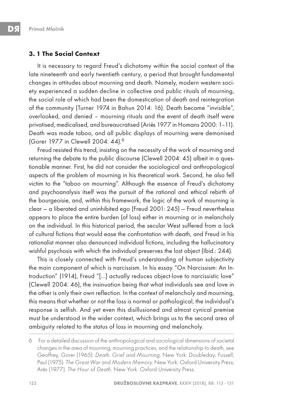#### **3. 1 The Social Context**

It is necessary to regard Freud's dichotomy within the social context of the late nineteenth and early twentieth century, a period that brought fundamental changes in attitudes about mourning and death. Namely, modern western society experienced a sudden decline in collective and public rituals of mourning, the social role of which had been the domestication of death and reintegration of the community (Turner 1974 in Bahun 2014: 16). Death became "invisible", overlooked, and denied – mourning rituals and the event of death itself were privatised, medicalised, and bureaucratised (Ariès 1977 in Homans 2000: 1-11). Death was made taboo, and all public displays of mourning were demonised (Gorer 1977 in Clewell 2004: 44).<sup>6</sup>

Freud resisted this trend, insisting on the necessity of the work of mourning and returning the debate to the public discourse (Clewell 2004: 45) albeit in a questionable manner. First, he did not consider the sociological and anthropological aspects of the problem of mourning in his theoretical work. Second, he also fell victim to the "taboo on mourning". Although the essence of Freud's dichotomy and psychoanalysis itself was the pursuit of the rational and ethical rebirth of the bourgeoisie, and, within this framework, the logic of the work of mourning is clear — a liberated and uninhibited ego (Freud 2001: 245) — Freud nevertheless appears to place the entire burden (of loss) either in mourning or in melancholy on the individual. In this historical period, the secular West suffered from a lack of cultural fictions that would ease the confrontation with death, and Freud in his rationalist manner also denounced individual fictions, including the hallucinatory wishful psychosis with which the individual preserves the lost object (Ibid.: 244).

This is closely connected with Freud's understanding of human subjectivity the main component of which is narcissism. In his essay "On Narcissism: An Introduction" (1914), Freud "[…] actually reduces object-love to narcissistic love" (Clewell 2004: 46), the insinuation being that what individuals see and love in the other is only their own reflection. In the context of melancholy and mourning, this means that whether or not the loss is normal or pathological, the individual's response is selfish. And yet even this disillusioned and almost cynical premise must be understood in the wider context, which brings us to the second area of ambiguity related to the status of loss in mourning and melancholy.

<sup>6</sup> For a detailed discussion of the anthropological and sociological dimensions of societal changes in the area of mourning, mourning practices, and the relationship to death, see Geoffrey, Gorer (1965): Death, Grief and Mourning. New York: Doubleday; Fussell, Paul (1975). The Great War and Modern Memory. New York: Oxford University Press; Arès (1977). The Hour of Death. New York: Oxford University Press.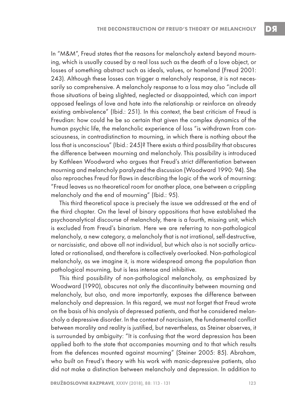In "M&M", Freud states that the reasons for melancholy extend beyond mourning, which is usually caused by a real loss such as the death of a love object, or losses of something abstract such as ideals, values, or homeland (Freud 2001: 243). Although these losses can trigger a melancholy response, it is not necessarily so comprehensive. A melancholy response to a loss may also "include all those situations of being slighted, neglected or disappointed, which can import opposed feelings of love and hate into the relationship or reinforce an already existing ambivalence" (Ibid.: 251). In this context, the best criticism of Freud is Freudian: how could he be so certain that given the complex dynamics of the human psychic life, the melancholic experience of loss "is withdrawn from consciousness, in contradistinction to mourning, in which there is nothing about the loss that is unconscious" (Ibid.: 245)? There exists a third possibility that obscures the difference between mourning and melancholy. This possibility is introduced by Kathleen Woodward who argues that Freud's strict differentiation between mourning and melancholy paralyzed the discussion (Woodward 1990: 94). She also reproaches Freud for flaws in describing the logic of the work of mourning: "Freud leaves us no theoretical room for another place, one between a crippling melancholy and the end of mourning" (Ibid.: 95).

This third theoretical space is precisely the issue we addressed at the end of the third chapter. On the level of binary oppositions that have established the psychoanalytical discourse of melancholy, there is a fourth, missing unit, which is excluded from Freud's binarism. Here we are referring to non-pathological melancholy, a new category, a melancholy that is not irrational, self-destructive, or narcissistic, and above all not individual, but which also is not socially articulated or rationalised, and therefore is collectively overlooked. Non-pathological melancholy, as we imagine it, is more widespread among the population than pathological mourning, but is less intense and inhibitive.

This third possibility of non-pathological melancholy, as emphasized by Woodward (1990), obscures not only the discontinuity between mourning and melancholy, but also, and more importantly, exposes the difference between melancholy and depression. In this regard, we must not forget that Freud wrote on the basis of his analysis of depressed patients, and that he considered melancholy a depressive disorder. In the context of narcissism, the fundamental conflict between morality and reality is justified, but nevertheless, as Steiner observes, it is surrounded by ambiguity: "It is confusing that the word depression has been applied both to the state that accompanies mourning and to that which results from the defences mounted against mourning" (Steiner 2005: 85). Abraham, who built on Freud's theory with his work with manic-depressive patients, also did not make a distinction between melancholy and depression. In addition to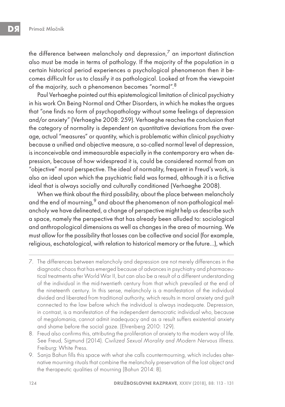the difference between melancholy and depression, $^7$  an important distinction also must be made in terms of pathology. If the majority of the population in a certain historical period experiences a psychological phenomenon then it becomes difficult for us to classify it as pathological. Looked at from the viewpoint of the majority, such a phenomenon becomes "normal".<sup>8</sup>

Paul Verhaeghe pointed out this epistemological limitation of clinical psychiatry in his work On Being Normal and Other Disorders, in which he makes the argues that "one finds no form of psychopathology without some feelings of depression and/or anxiety" (Verhaeghe 2008: 259). Verhaeghe reaches the conclusion that the category of normality is dependent on quantitative deviations from the average, actual "measures" or quantity, which is problematic within clinical psychiatry because a unified and objective measure, a so-called normal level of depression, is inconceivable and immeasurable especially in the contemporary era when depression, because of how widespread it is, could be considered normal from an "objective" moral perspective. The ideal of normality, frequent in Freud's work, is also an ideal upon which the psychiatric field was formed, although it is a fictive ideal that is always socially and culturally conditioned (Verhaeghe 2008).

When we think about the third possibility, about the place between melancholy and the end of mourning,<sup>9</sup> and about the phenomenon of non-pathological melancholy we have delineated, a change of perspective might help us describe such a space, namely the perspective that has already been alluded to: sociological and anthropological dimensions as well as changes in the area of mourning. We must allow for the possibility that losses can be collective and social (for example, religious, eschatological, with relation to historical memory or the future…), which

- 8. Freud also confirms this, attributing the proliferation of anxiety to the modern way of life. See Freud, Sigmund (2014). Civilized Sexual Morality and Modern Nervous Illness. Freiburg: White Press.
- 9. Sanja Bahun fills this space with what she calls countermourning, which includes alternative mourning rituals that combine the melancholy preservation of the lost object and the therapeutic qualities of mourning (Bahun 2014: 8).

<sup>7.</sup> The differences between melancholy and depression are not merely differences in the diagnostic chaos that has emerged because of advances in psychiatry and pharmaceutical treatments after World War II, but can also be a result of a different understanding of the individual in the mid-twentieth century from that which prevailed at the end of the nineteenth century. In this sense, melancholy is a manifestation of the individual divided and liberated from traditional authority, which results in moral anxiety and guilt connected to the law before which the individual is always inadequate. Depression, in contrast, is a manifestation of the independent democratic individual who, because of megalomania, cannot admit inadequacy and as a result suffers existential anxiety and shame before the social gaze. (Ehrenberg 2010: 129).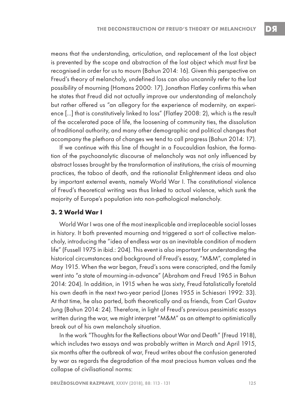means that the understanding, articulation, and replacement of the lost object is prevented by the scope and abstraction of the lost object which must first be recognised in order for us to mourn (Bahun 2014: 16). Given this perspective on Freud's theory of melancholy, undefined loss can also uncannily refer to the lost possibility of mourning (Homans 2000: 17). Jonathan Flatley confirms this when he states that Freud did not actually improve our understanding of melancholy but rather offered us "an allegory for the experience of modernity, an experience […] that is constitutively linked to loss" (Flatley 2008: 2), which is the result of the accelerated pace of life, the loosening of community ties, the dissolution of traditional authority, and many other demographic and political changes that accompany the plethora of changes we tend to call progress (Bahun 2014: 17).

If we continue with this line of thought in a Foucauldian fashion, the formation of the psychoanalytic discourse of melancholy was not only influenced by abstract losses brought by the transformation of institutions, the crisis of mourning practices, the taboo of death, and the rationalist Enlightenment ideas and also by important external events, namely World War I. The constitutional violence of Freud's theoretical writing was thus linked to actual violence, which sunk the majority of Europe's population into non-pathological melancholy.

#### **3. 2 World War I**

World War I was one of the most inexplicable and irreplaceable social losses in history. It both prevented mourning and triggered a sort of collective melancholy, introducing the "idea of endless war as an inevitable condition of modern life" (Fussell 1975 in ibid.: 204). This event is also important for understanding the historical circumstances and background of Freud's essay, "M&M", completed in May 1915. When the war began, Freud's sons were conscripted, and the family went into "a state of mourning-in-advance" (Abraham and Freud 1965 in Bahun 2014: 204). In addition, in 1915 when he was sixty, Freud fatalistically foretold his own death in the next two-year period (Jones 1955 in Schiesari 1992: 33). At that time, he also parted, both theoretically and as friends, from Carl Gustav Jung (Bahun 2014: 24). Therefore, in light of Freud's previous pessimistic essays written during the war, we might interpret "M&M" as an attempt to optimistically break out of his own melancholy situation.

In the work "Thoughts for the Reflections about War and Death" (Freud 1918), which includes two essays and was probably written in March and April 1915, six months after the outbreak of war, Freud writes about the confusion generated by war as regards the degradation of the most precious human values and the collapse of civilisational norms: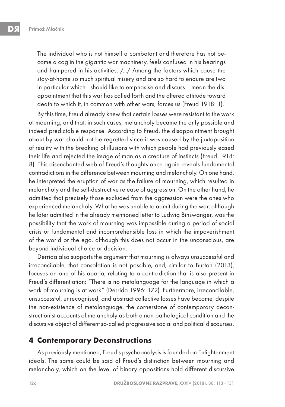The individual who is not himself a combatant and therefore has not become a cog in the gigantic war machinery, feels confused in his bearings and hampered in his activities. /.../ Among the factors which cause the stay-at-home so much spiritual misery and are so hard to endure are two in particular which I should like to emphasise and discuss. I mean the disappointment that this war has called forth and the altered attitude toward death to which it, in common with other wars, forces us (Freud 1918: 1).

By this time, Freud already knew that certain losses were resistant to the work of mourning, and that, in such cases, melancholy became the only possible and indeed predictable response. According to Freud, the disappointment brought about by war should not be regretted since it was caused by the juxtaposition of reality with the breaking of illusions with which people had previously eased their life and rejected the image of man as a creature of instincts (Freud 1918: 8). This disenchanted web of Freud's thoughts once again reveals fundamental contradictions in the difference between mourning and melancholy. On one hand, he interpreted the eruption of war as the failure of mourning, which resulted in melancholy and the self-destructive release of aggression. On the other hand, he admitted that precisely those excluded from the aggression were the ones who experienced melancholy. What he was unable to admit during the war, although he later admitted in the already mentioned letter to Ludwig Binswanger, was the possibility that the work of mourning was impossible during a period of social crisis or fundamental and incomprehensible loss in which the impoverishment of the world or the ego, although this does not occur in the unconscious, are beyond individual choice or decision.

Derrida also supports the argument that mourning is always unsuccessful and irreconcilable, that consolation is not possible, and, similar to Burton (2013), focuses on one of his aporia, relating to a contradiction that is also present in Freud's differentiation: "There is no metalanguage for the language in which a work of mourning is at work" (Derrida 1996: 172). Furthermore, irreconcilable, unsuccessful, unrecognised, and abstract collective losses have become, despite the non-existence of metalanguage, the cornerstone of contemporary deconstructionist accounts of melancholy as both a non-pathological condition and the discursive object of different so-called progressive social and political discourses.

### **4 Contemporary Deconstructions**

As previously mentioned, Freud's psychoanalysis is founded on Enlightenment ideals. The same could be said of Freud's distinction between mourning and melancholy, which on the level of binary oppositions hold different discursive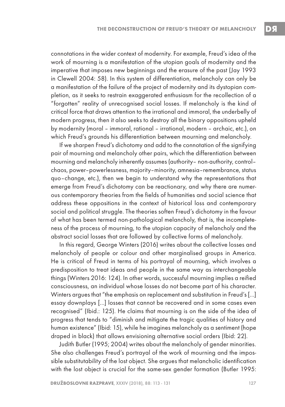connotations in the wider context of modernity. For example, Freud's idea of the work of mourning is a manifestation of the utopian goals of modernity and the imperative that imposes new beginnings and the erasure of the past (Jay 1993 in Clewell 2004: 58). In this system of differentiation, melancholy can only be a manifestation of the failure of the project of modernity and its dystopian completion, as it seeks to restrain exaggerated enthusiasm for the recollection of a "forgotten" reality of unrecognised social losses. If melancholy is the kind of critical force that draws attention to the irrational and immoral, the underbelly of modern progress, then it also seeks to destroy all the binary oppositions upheld by modernity (moral – immoral, rational – irrational, modern – archaic, etc.), on which Freud's grounds his differentiation between mourning and melancholy.

If we sharpen Freud's dichotomy and add to the connotation of the signifying pair of mourning and melancholy other pairs, which the differentiation between mourning and melancholy inherently assumes (authority– non-authority, control– chaos, power–powerlessness, majority–minority, amnesia–remembrance, status quo–change, etc.), then we begin to understand why the representations that emerge from Freud's dichotomy can be reactionary, and why there are numerous contemporary theories from the fields of humanities and social science that address these oppositions in the context of historical loss and contemporary social and political struggle. The theories soften Freud's dichotomy in the favour of what has been termed non-pathological melancholy, that is, the incompleteness of the process of mourning, to the utopian capacity of melancholy and the abstract social losses that are followed by collective forms of melancholy.

In this regard, George Winters (2016) writes about the collective losses and melancholy of people or colour and other marginalised groups in America. He is critical of Freud in terms of his portrayal of mourning, which involves a predisposition to treat ideas and people in the same way as interchangeable things (Winters 2016: 124). In other words, successful mourning implies a reified consciousness, an individual whose losses do not become part of his character. Winters argues that "the emphasis on replacement and substitution in Freud's […] essay downplays […] losses that cannot be recovered and in some cases even recognised" (Ibid.: 125). He claims that mourning is on the side of the idea of progress that tends to "diminish and mitigate the tragic qualities of history and human existence" (Ibid: 15), while he imagines melancholy as a sentiment (hope draped in black) that allows envisioning alternative social orders (Ibid: 22).

Judith Butler (1995; 2004) writes about the melancholy of gender minorities. She also challenges Freud's portrayal of the work of mourning and the impossible substitutability of the lost object. She argues that melancholic identification with the lost object is crucial for the same-sex gender formation (Butler 1995: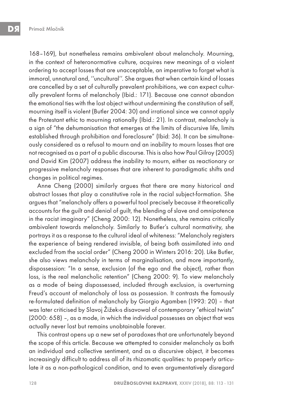168–169), but nonetheless remains ambivalent about melancholy. Mourning, in the context of heteronormative culture, acquires new meanings of a violent ordering to accept losses that are unacceptable, an imperative to forget what is immoral, unnatural and, ''uncultural''. She argues that when certain kind of losses are cancelled by a set of culturally prevalent prohibitions, we can expect culturally prevalent forms of melancholy (Ibid.: 171). Because one cannot abandon the emotional ties with the lost object without undermining the constitution of self, mourning itself is violent (Butler 2004: 30) and irrational since we cannot apply the Protestant ethic to mourning rationally (Ibid.: 21). In contrast, melancholy is a sign of "the dehumanisation that emerges at the limits of discursive life, limits established through prohibition and foreclosure" (Ibid: 36). It can be simultaneously considered as a refusal to mourn and an inability to mourn losses that are not recognised as a part of a public discourse. This is also how Paul Gilroy (2005) and David Kim (2007) address the inability to mourn, either as reactionary or progressive melancholy responses that are inherent to paradigmatic shifts and changes in political regimes.

Anne Cheng (2000) similarly argues that there are many historical and abstract losses that play a constitutive role in the racial subject-formation. She argues that "melancholy offers a powerful tool precisely because it theoretically accounts for the guilt and denial of guilt, the blending of slave and omnipotence in the racist imaginary" (Cheng 2000: 12). Nonetheless, she remains critically ambivalent towards melancholy. Similarly to Butler's cultural normativity, she portrays it as a response to the cultural ideal of whiteness: "Melancholy registers the experience of being rendered invisible, of being both assimilated into and excluded from the social order" (Cheng 2000 in Winters 2016: 20). Like Butler, she also views melancholy in terms of marginalisation, and more importantly, dispossession: "In a sense, exclusion (of the ego and the object), rather than loss, is the real melancholic retention" (Cheng 2000: 9). To view melancholy as a mode of being dispossessed, included through exclusion, is overturning Freud's account of melancholy of loss as possession. It contrasts the famously re-formulated definition of melancholy by Giorgio Agamben (1993: 20) – that was later criticised by Slavoj Žižek›s disavowal of contemporary "ethical twists" (2000: 658) –, as a mode, in which the individual possesses an object that was actually never lost but remains unobtainable forever.

This contrast opens up a new set of paradoxes that are unfortunately beyond the scope of this article. Because we attempted to consider melancholy as both an individual and collective sentiment, and as a discursive object, it becomes increasingly difficult to address all of its rhizomatic qualities: to properly articulate it as a non-pathological condition, and to even argumentatively disregard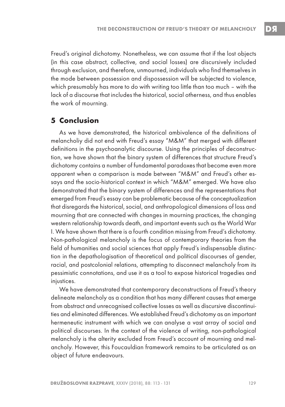Freud's original dichotomy. Nonetheless, we can assume that if the lost objects (in this case abstract, collective, and social losses) are discursively included through exclusion, and therefore, unmourned, individuals who find themselves in the mode between possession and dispossession will be subjected to violence, which presumably has more to do with writing too little than too much – with the lack of a discourse that includes the historical, social otherness, and thus enables the work of mourning.

### **5 Conclusion**

As we have demonstrated, the historical ambivalence of the definitions of melancholiy did not end with Freud's essay "M&M" that merged with different definitions in the psychoanalytic discourse. Using the principles of deconstruction, we have shown that the binary system of differences that structure Freud's dichotomy contains a number of fundamental paradoxes that become even more apparent when a comparison is made between "M&M" and Freud's other essays and the socio-historical context in which "M&M" emerged. We have also demonstrated that the binary system of differences and the representations that emerged from Freud's essay can be problematic because of the conceptualization that disregards the historical, social, and anthropological dimensions of loss and mourning that are connected with changes in mourning practices, the changing western relationship towards death, and important events such as the World War I. We have shown that there is a fourth condition missing from Freud's dichotomy. Non-pathological melancholy is the focus of contemporary theories from the field of humanities and social sciences that apply Freud's indispensable distinction in the depathologisation of theoretical and political discourses of gender, racial, and postcolonial relations, attempting to disconnect melancholy from its pessimistic connotations, and use it as a tool to expose historical tragedies and injustices.

We have demonstrated that contemporary deconstructions of Freud's theory delineate melancholy as a condition that has many different causes that emerge from abstract and unrecognised collective losses as well as discursive discontinuities and eliminated differences. We established Freud's dichotomy as an important hermeneutic instrument with which we can analyse a vast array of social and political discourses. In the context of the violence of writing, non-pathological melancholy is the alterity excluded from Freud's account of mourning and melancholy. However, this Foucauldian framework remains to be articulated as an object of future endeavours.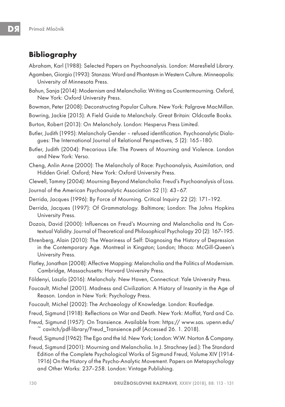# **Bibliography**

Abraham, Karl (1988): Selected Papers on Psychoanalysis. London: Maresfield Library.

- Agamben, Giorgio (1993): Stanzas: Word and Phantasm in Western Culture. Minneapolis: University of Minnesota Press.
- Bahun, Sanja (2014): Modernism and Melancholia: Writing as Countermourning. Oxford, New York: Oxford University Press.
- Bowman, Peter (2008): Deconstructing Popular Culture. New York: Palgrave MacMillan.
- Bowring, Jackie (2015): A Field Guide to Melancholy. Great Britain: Oldcastle Books.
- Burton, Robert (2013): On Melancholy. London: Hesperus Press Limited.
- Butler, Judith (1995): Melancholy Gender refused identification. Psychoanalytic Dialogues: The International Journal of Relational Perspectives, 5 (2): 165–180.
- Butler, Judith (2004): Precarious Life: The Powers of Mourning and Violence. London and New York: Verso.
- Cheng, Anlin Anne (2000): The Melancholy of Race: Psychoanalysis, Assimilation, and Hidden Grief. Oxford; New York: Oxford University Press.
- Clewell, Tammy (2004): Mourning Beyond Melancholia: Freud's Psychoanalysis of Loss.
- Journal of the American Psychoanalytic Association 52 (1): 43–67.
- Derrida, Jacques (1996): By Force of Mourning. Critical Inquiry 22 (2): 171–192.
- Derrida, Jacques (1997): Of Grammatology. Baltimore; London: The Johns Hopkins University Press.
- Dozois, David (2000): Influences on Freud's Mourning and Melancholia and Its Contextual Validity. Journal of Theoretical and Philosophical Psychology 20 (2): 167–195.
- Ehrenberg, Alain (2010): The Weariness of Self: Diagnosing the History of Depression in the Contemporary Age. Montreal in Kingston; London; Ithaca: McGill-Queen's University Press.
- Flatley, Jonathan (2008): Affective Mapping: Melancholia and the Politics of Modernism. Cambridge, Massachusetts: Harvard University Press.
- Földenyi, Laszlo (2016): Melancholy. New Haven, Connecticut: Yale University Press.
- Foucault, Michel (2001). Madness and Civilization: A History of Insanity in the Age of Reason. London in New York: Psychology Press.
- Foucault, Michel (2002): The Archaeology of Knowledge. London: Routledge.
- Freud, Sigmund (1918): Reflections on War and Death. New York: Moffat, Yard and Co.
- Freud, Sigmund (1957): On Transience. Available from: https:// www.sas. upenn.edu/ ~ cavitch/pdf-library/Freud\_Transience.pdf (Accessed 26. 1. 2018).
- Freud, Sigmund (1962): The Ego and the Id. New York; London: W.W. Norton & Company.
- Freud, Sigmund (2001): Mourning and Melancholia. In J. Strachney (ed.): The Standard Edition of the Complete Psychological Works of Sigmund Freud, Volume XIV (1914- 1916) On the History of the Psycho-Analytic Movement. Papers on Metapsychology and Other Works: 237–258. London: Vintage Publishing.